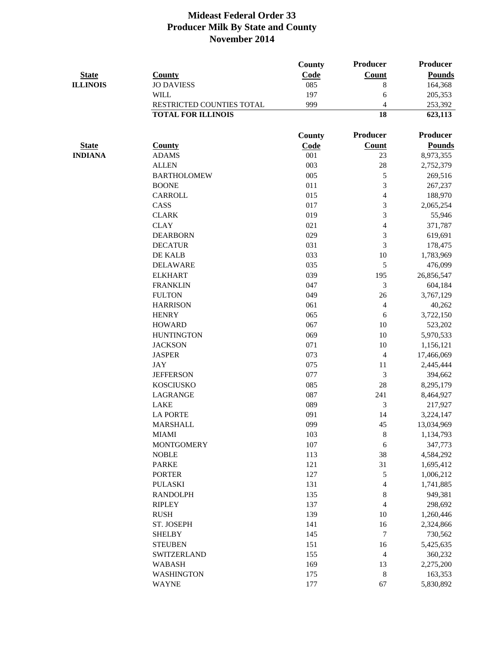|                 |                           | County        | Producer                 | <b>Producer</b> |
|-----------------|---------------------------|---------------|--------------------------|-----------------|
| <b>State</b>    | <b>County</b>             | Code          | <b>Count</b>             | <b>Pounds</b>   |
| <b>ILLINOIS</b> | <b>JO DAVIESS</b>         | 085           | 8                        | 164,368         |
|                 | <b>WILL</b>               | 197           | 6                        | 205,353         |
|                 | RESTRICTED COUNTIES TOTAL | 999           | 4                        | 253,392         |
|                 | <b>TOTAL FOR ILLINOIS</b> |               | 18                       | 623,113         |
|                 |                           | <b>County</b> | Producer                 | <b>Producer</b> |
| <b>State</b>    | <b>County</b>             | Code          | <b>Count</b>             | <b>Pounds</b>   |
| <b>INDIANA</b>  | <b>ADAMS</b>              | 001           | 23                       | 8,973,355       |
|                 | <b>ALLEN</b>              | 003           | 28                       | 2,752,379       |
|                 | <b>BARTHOLOMEW</b>        | 005           | 5                        | 269,516         |
|                 | <b>BOONE</b>              | 011           | 3                        | 267,237         |
|                 | <b>CARROLL</b>            | 015           | $\overline{4}$           | 188,970         |
|                 | CASS                      | 017           | 3                        | 2,065,254       |
|                 | <b>CLARK</b>              | 019           | 3                        | 55,946          |
|                 | <b>CLAY</b>               | 021           | $\overline{4}$           | 371,787         |
|                 | <b>DEARBORN</b>           | 029           | 3                        | 619,691         |
|                 | <b>DECATUR</b>            | 031           | 3                        | 178,475         |
|                 | DE KALB                   | 033           | 10                       | 1,783,969       |
|                 | <b>DELAWARE</b>           | 035           | 5                        | 476,099         |
|                 | <b>ELKHART</b>            | 039           | 195                      | 26,856,547      |
|                 | <b>FRANKLIN</b>           | 047           | 3                        | 604,184         |
|                 | <b>FULTON</b>             | 049           | 26                       | 3,767,129       |
|                 | <b>HARRISON</b>           | 061           | $\overline{4}$           | 40,262          |
|                 | <b>HENRY</b>              | 065           | 6                        | 3,722,150       |
|                 | <b>HOWARD</b>             | 067           | 10                       | 523,202         |
|                 | <b>HUNTINGTON</b>         | 069           | 10                       | 5,970,533       |
|                 | <b>JACKSON</b>            | 071           | 10                       | 1,156,121       |
|                 | <b>JASPER</b>             | 073           | $\overline{4}$           | 17,466,069      |
|                 | <b>JAY</b>                | 075           | 11                       | 2,445,444       |
|                 | <b>JEFFERSON</b>          | 077           | 3                        | 394,662         |
|                 | <b>KOSCIUSKO</b>          | 085           | 28                       | 8,295,179       |
|                 | LAGRANGE                  | 087           | 241                      | 8,464,927       |
|                 | <b>LAKE</b>               | 089           | 3                        | 217,927         |
|                 | <b>LA PORTE</b>           | 091           | 14                       | 3,224,147       |
|                 | <b>MARSHALL</b>           | 099           | 45                       | 13,034,969      |
|                 | <b>MIAMI</b>              | 103           | $\,8\,$                  | 1,134,793       |
|                 | <b>MONTGOMERY</b>         | 107           | 6                        | 347,773         |
|                 | <b>NOBLE</b>              | 113           | 38                       | 4,584,292       |
|                 | <b>PARKE</b>              | 121           | 31                       | 1,695,412       |
|                 | <b>PORTER</b>             | 127           | 5                        | 1,006,212       |
|                 | <b>PULASKI</b>            | 131           | $\overline{\mathcal{A}}$ | 1,741,885       |
|                 | <b>RANDOLPH</b>           | 135           | $\,8\,$                  | 949,381         |
|                 | <b>RIPLEY</b>             | 137           | $\overline{4}$           | 298,692         |
|                 | <b>RUSH</b>               | 139           | 10                       | 1,260,446       |
|                 | ST. JOSEPH                | 141           | 16                       | 2,324,866       |
|                 | <b>SHELBY</b>             | 145           | $\boldsymbol{7}$         | 730,562         |
|                 | <b>STEUBEN</b>            | 151           | 16                       | 5,425,635       |
|                 | <b>SWITZERLAND</b>        | 155           | $\overline{\mathcal{A}}$ | 360,232         |
|                 | <b>WABASH</b>             | 169           | 13                       | 2,275,200       |
|                 | <b>WASHINGTON</b>         | 175           | $\,8\,$                  | 163,353         |
|                 | <b>WAYNE</b>              | 177           | 67                       | 5,830,892       |
|                 |                           |               |                          |                 |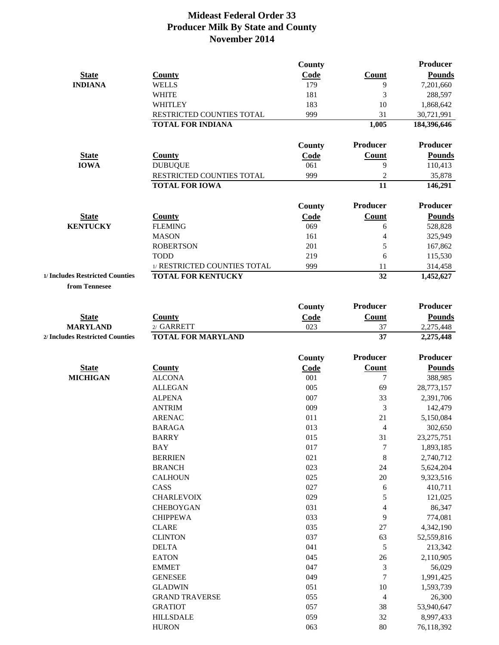|                                                    |                                           | County        |                 | Producer               |
|----------------------------------------------------|-------------------------------------------|---------------|-----------------|------------------------|
| <b>State</b>                                       | <b>County</b>                             | <b>Code</b>   | Count           | <b>Pounds</b>          |
| <b>INDIANA</b>                                     | <b>WELLS</b>                              | 179           | 9               | 7,201,660              |
|                                                    | <b>WHITE</b>                              | 181           | 3               | 288,597                |
|                                                    | <b>WHITLEY</b>                            | 183           | 10              | 1,868,642              |
|                                                    | RESTRICTED COUNTIES TOTAL                 | 999           | 31              | 30,721,991             |
|                                                    | <b>TOTAL FOR INDIANA</b>                  |               | 1,005           | 184,396,646            |
|                                                    |                                           | County        | Producer        | Producer               |
| <b>State</b>                                       | <b>County</b>                             | Code          | <b>Count</b>    | <b>Pounds</b>          |
| <b>IOWA</b>                                        | <b>DUBUQUE</b>                            | 061           | 9               | 110,413                |
|                                                    | RESTRICTED COUNTIES TOTAL                 | 999           | $\mathbf{2}$    | 35,878                 |
|                                                    | <b>TOTAL FOR IOWA</b>                     |               | 11              | 146,291                |
|                                                    |                                           | County        | <b>Producer</b> | <b>Producer</b>        |
| <b>State</b>                                       | <b>County</b>                             | Code          | <b>Count</b>    | <b>Pounds</b>          |
| <b>KENTUCKY</b>                                    | <b>FLEMING</b>                            | 069           | 6               | 528,828                |
|                                                    | <b>MASON</b>                              | 161           | 4               | 325,949                |
|                                                    | <b>ROBERTSON</b>                          | 201           | 5               | 167,862                |
|                                                    | <b>TODD</b>                               | 219           | 6               | 115,530                |
|                                                    | 1/ RESTRICTED COUNTIES TOTAL              | 999           | 11              | 314,458                |
| 1/ Includes Restricted Counties<br>from Tennesee   | <b>TOTAL FOR KENTUCKY</b>                 |               | 32              | 1,452,627              |
|                                                    |                                           |               |                 |                        |
|                                                    |                                           | County        | Producer        | <b>Producer</b>        |
| <b>State</b>                                       | <b>County</b>                             | Code          | Count           | <b>Pounds</b>          |
| <b>MARYLAND</b><br>2/ Includes Restricted Counties | $2/$ GARRETT<br><b>TOTAL FOR MARYLAND</b> | 023           | 37<br>37        | 2,275,448<br>2,275,448 |
|                                                    |                                           |               |                 |                        |
|                                                    |                                           | <b>County</b> | Producer        | Producer               |
| <b>State</b>                                       | <b>County</b>                             | <b>Code</b>   | <b>Count</b>    | <b>Pounds</b>          |
| <b>MICHIGAN</b>                                    | <b>ALCONA</b>                             | 001           | 7               | 388,985                |
|                                                    | <b>ALLEGAN</b>                            | 005           | 69              | 28,773,157             |
|                                                    | <b>ALPENA</b>                             | 007           | 33              | 2,391,706              |
|                                                    | <b>ANTRIM</b>                             | 009           | 3               | 142,479                |
|                                                    | <b>ARENAC</b>                             | 011           | 21              | 5,150,084              |
|                                                    | <b>BARAGA</b>                             | 013           | $\overline{4}$  | 302,650                |
|                                                    | <b>BARRY</b>                              | 015           | 31              | 23, 275, 751           |
|                                                    | <b>BAY</b>                                | 017           | $\tau$          | 1,893,185              |
|                                                    | <b>BERRIEN</b>                            | 021           | $\,8\,$         | 2,740,712              |
|                                                    | <b>BRANCH</b>                             | 023           | 24              | 5,624,204              |
|                                                    | <b>CALHOUN</b>                            | 025           | $20\,$          | 9,323,516              |
|                                                    | CASS                                      | 027           | 6               | 410,711                |
|                                                    | <b>CHARLEVOIX</b>                         | 029           | 5               | 121,025                |
|                                                    | <b>CHEBOYGAN</b>                          | 031           | 4               | 86,347                 |
|                                                    | <b>CHIPPEWA</b>                           | 033           | 9               | 774,081                |
|                                                    | <b>CLARE</b>                              | 035           | 27              | 4,342,190              |
|                                                    | <b>CLINTON</b>                            | 037           | 63              | 52,559,816             |
|                                                    | <b>DELTA</b>                              | 041           | 5               | 213,342                |
|                                                    | <b>EATON</b>                              | 045           | 26              | 2,110,905              |
|                                                    | <b>EMMET</b>                              | 047           | $\mathfrak{Z}$  | 56,029                 |
|                                                    | <b>GENESEE</b>                            | 049           | $\overline{7}$  | 1,991,425              |
|                                                    | <b>GLADWIN</b>                            | 051           | 10              | 1,593,739              |
|                                                    | <b>GRAND TRAVERSE</b>                     | 055           | $\overline{4}$  | 26,300                 |
|                                                    | <b>GRATIOT</b>                            | 057           | 38              | 53,940,647             |

HILLSDALE 059 32 8,997,433 HURON 063 80 76,118,392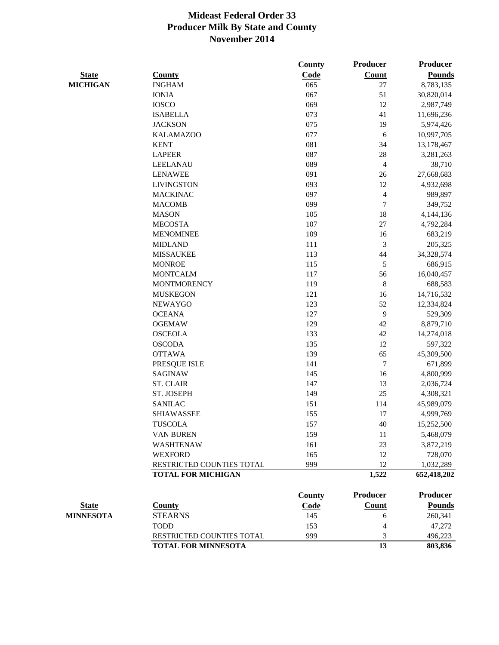|                  |                            | <b>County</b> | Producer                 | <b>Producer</b> |
|------------------|----------------------------|---------------|--------------------------|-----------------|
| <b>State</b>     | <b>County</b>              | Code          | <b>Count</b>             | <b>Pounds</b>   |
| <b>MICHIGAN</b>  | <b>INGHAM</b>              | 065           | 27                       | 8,783,135       |
|                  | <b>IONIA</b>               | 067           | 51                       | 30,820,014      |
|                  | <b>IOSCO</b>               | 069           | 12                       | 2,987,749       |
|                  | <b>ISABELLA</b>            | 073           | 41                       | 11,696,236      |
|                  | <b>JACKSON</b>             | 075           | 19                       | 5,974,426       |
|                  | <b>KALAMAZOO</b>           | 077           | 6                        | 10,997,705      |
|                  | <b>KENT</b>                | 081           | 34                       | 13,178,467      |
|                  | <b>LAPEER</b>              | 087           | 28                       | 3,281,263       |
|                  | LEELANAU                   | 089           | $\overline{\mathcal{L}}$ | 38,710          |
|                  | <b>LENAWEE</b>             | 091           | 26                       | 27,668,683      |
|                  | <b>LIVINGSTON</b>          | 093           | 12                       | 4,932,698       |
|                  | <b>MACKINAC</b>            | 097           | $\overline{\mathcal{A}}$ | 989,897         |
|                  | <b>MACOMB</b>              | 099           | $\tau$                   | 349,752         |
|                  | <b>MASON</b>               | 105           | 18                       | 4,144,136       |
|                  | <b>MECOSTA</b>             | 107           | 27                       | 4,792,284       |
|                  | <b>MENOMINEE</b>           | 109           | 16                       | 683,219         |
|                  | <b>MIDLAND</b>             | 111           | $\mathfrak{Z}$           | 205,325         |
|                  | <b>MISSAUKEE</b>           | 113           | 44                       | 34,328,574      |
|                  | <b>MONROE</b>              | 115           | 5                        | 686,915         |
|                  | <b>MONTCALM</b>            | 117           | 56                       | 16,040,457      |
|                  | <b>MONTMORENCY</b>         | 119           | $\,8\,$                  | 688,583         |
|                  | <b>MUSKEGON</b>            | 121           | 16                       | 14,716,532      |
|                  | <b>NEWAYGO</b>             | 123           | 52                       | 12,334,824      |
|                  | <b>OCEANA</b>              | 127           | 9                        | 529,309         |
|                  | <b>OGEMAW</b>              | 129           | 42                       | 8,879,710       |
|                  | <b>OSCEOLA</b>             | 133           | 42                       | 14,274,018      |
|                  | <b>OSCODA</b>              | 135           | 12                       | 597,322         |
|                  | <b>OTTAWA</b>              | 139           | 65                       | 45,309,500      |
|                  | PRESQUE ISLE               | 141           | $\boldsymbol{7}$         | 671,899         |
|                  | <b>SAGINAW</b>             | 145           | 16                       | 4,800,999       |
|                  | <b>ST. CLAIR</b>           | 147           | 13                       | 2,036,724       |
|                  | ST. JOSEPH                 | 149           | 25                       | 4,308,321       |
|                  | <b>SANILAC</b>             | 151           | 114                      | 45,989,079      |
|                  | <b>SHIAWASSEE</b>          | 155           | 17                       | 4,999,769       |
|                  | <b>TUSCOLA</b>             | 157           | 40                       | 15,252,500      |
|                  | <b>VAN BUREN</b>           | 159           | 11                       | 5,468,079       |
|                  | <b>WASHTENAW</b>           | 161           | 23                       | 3,872,219       |
|                  | <b>WEXFORD</b>             | 165           | 12                       | 728,070         |
|                  | RESTRICTED COUNTIES TOTAL  | 999           | 12                       | 1,032,289       |
|                  | <b>TOTAL FOR MICHIGAN</b>  |               | 1,522                    | 652,418,202     |
|                  |                            | <b>County</b> | Producer                 | <b>Producer</b> |
| <b>State</b>     | <b>County</b>              | <b>Code</b>   | <b>Count</b>             | <b>Pounds</b>   |
| <b>MINNESOTA</b> | <b>STEARNS</b>             | 145           | 6                        | 260,341         |
|                  | <b>TODD</b>                | 153           | 4                        | 47,272          |
|                  | RESTRICTED COUNTIES TOTAL  | 999           | 3                        | 496,223         |
|                  | <b>TOTAL FOR MINNESOTA</b> |               | 13                       | 803,836         |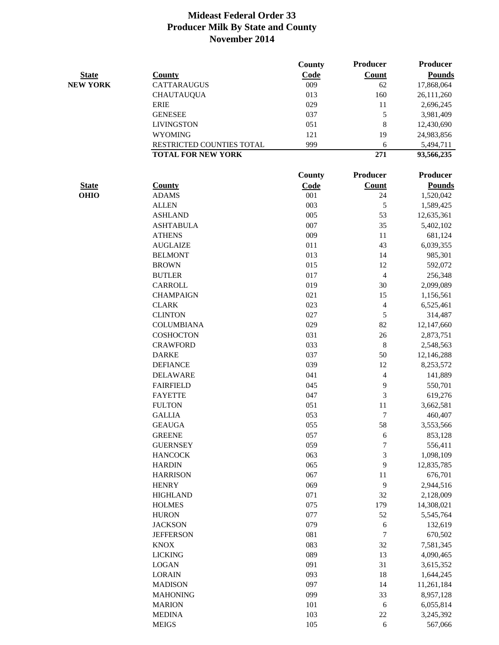|                 |                           | County | Producer         | <b>Producer</b> |
|-----------------|---------------------------|--------|------------------|-----------------|
| <b>State</b>    | <b>County</b>             | Code   | <b>Count</b>     | <b>Pounds</b>   |
| <b>NEW YORK</b> | <b>CATTARAUGUS</b>        | 009    | 62               | 17,868,064      |
|                 | <b>CHAUTAUQUA</b>         | 013    | 160              | 26,111,260      |
|                 | <b>ERIE</b>               | 029    | 11               | 2,696,245       |
|                 | <b>GENESEE</b>            | 037    | 5                | 3,981,409       |
|                 | <b>LIVINGSTON</b>         | 051    | $\,8\,$          | 12,430,690      |
|                 | <b>WYOMING</b>            | 121    | 19               | 24,983,856      |
|                 | RESTRICTED COUNTIES TOTAL | 999    | 6                | 5,494,711       |
|                 | <b>TOTAL FOR NEW YORK</b> |        | 271              | 93,566,235      |
|                 |                           | County | Producer         | <b>Producer</b> |
| <b>State</b>    | <b>County</b>             | Code   | <b>Count</b>     | <b>Pounds</b>   |
| <b>OHIO</b>     | <b>ADAMS</b>              | 001    | 24               | 1,520,042       |
|                 | <b>ALLEN</b>              | 003    | 5                | 1,589,425       |
|                 | <b>ASHLAND</b>            | 005    | 53               | 12,635,361      |
|                 | <b>ASHTABULA</b>          | 007    | 35               | 5,402,102       |
|                 | <b>ATHENS</b>             | 009    | 11               | 681,124         |
|                 | <b>AUGLAIZE</b>           | 011    | 43               | 6,039,355       |
|                 | <b>BELMONT</b>            | 013    | 14               | 985,301         |
|                 | <b>BROWN</b>              | 015    | 12               | 592,072         |
|                 | <b>BUTLER</b>             | 017    | $\overline{4}$   | 256,348         |
|                 | <b>CARROLL</b>            | 019    | 30               | 2,099,089       |
|                 | <b>CHAMPAIGN</b>          | 021    | 15               | 1,156,561       |
|                 | <b>CLARK</b>              | 023    | 4                | 6,525,461       |
|                 | <b>CLINTON</b>            | 027    | 5                | 314,487         |
|                 | <b>COLUMBIANA</b>         | 029    | 82               | 12,147,660      |
|                 | <b>COSHOCTON</b>          | 031    | 26               | 2,873,751       |
|                 | <b>CRAWFORD</b>           | 033    | 8                | 2,548,563       |
|                 | <b>DARKE</b>              | 037    | 50               | 12,146,288      |
|                 | <b>DEFIANCE</b>           | 039    | 12               | 8,253,572       |
|                 | <b>DELAWARE</b>           | 041    | 4                | 141,889         |
|                 | <b>FAIRFIELD</b>          | 045    | 9                | 550,701         |
|                 | <b>FAYETTE</b>            | 047    | 3                | 619,276         |
|                 | <b>FULTON</b>             | 051    | 11               | 3,662,581       |
|                 | <b>GALLIA</b>             | 053    | $\boldsymbol{7}$ | 460,407         |
|                 | <b>GEAUGA</b>             | 055    | 58               | 3,553,566       |
|                 | <b>GREENE</b>             | 057    | 6                | 853,128         |
|                 | <b>GUERNSEY</b>           | 059    | $\overline{7}$   | 556,411         |
|                 | <b>HANCOCK</b>            | 063    | 3                | 1,098,109       |
|                 | <b>HARDIN</b>             | 065    | 9                | 12,835,785      |
|                 | <b>HARRISON</b>           | 067    | 11               | 676,701         |
|                 | <b>HENRY</b>              | 069    | 9                | 2,944,516       |
|                 | <b>HIGHLAND</b>           | 071    | 32               | 2,128,009       |
|                 | <b>HOLMES</b>             | 075    | 179              | 14,308,021      |
|                 | <b>HURON</b>              | 077    | 52               | 5,545,764       |
|                 | <b>JACKSON</b>            | 079    | 6                | 132,619         |
|                 | <b>JEFFERSON</b>          | 081    | $\overline{7}$   | 670,502         |
|                 | <b>KNOX</b>               | 083    | 32               | 7,581,345       |
|                 | <b>LICKING</b>            | 089    | 13               | 4,090,465       |
|                 | <b>LOGAN</b>              | 091    | 31               | 3,615,352       |
|                 | <b>LORAIN</b>             | 093    | 18               | 1,644,245       |
|                 | <b>MADISON</b>            | 097    | 14               | 11,261,184      |
|                 | <b>MAHONING</b>           | 099    | 33               | 8,957,128       |
|                 | <b>MARION</b>             | 101    | 6                | 6,055,814       |
|                 | <b>MEDINA</b>             | 103    | 22               | 3,245,392       |
|                 | <b>MEIGS</b>              | 105    | $\sqrt{6}$       | 567,066         |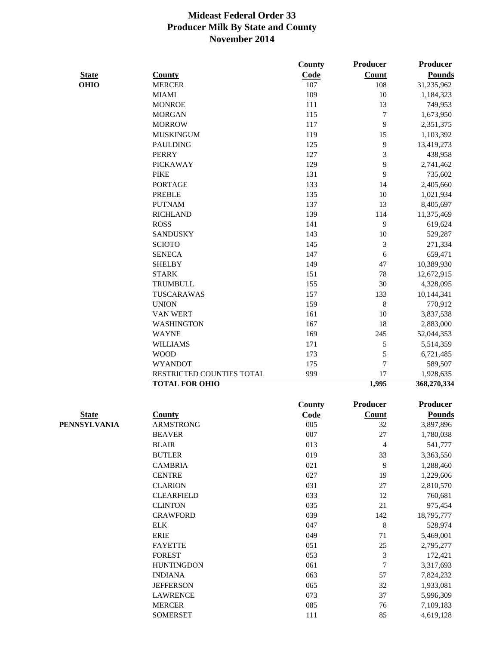|              |                           | <b>County</b> | Producer         | <b>Producer</b> |
|--------------|---------------------------|---------------|------------------|-----------------|
| <b>State</b> | <b>County</b>             | Code          | <b>Count</b>     | <b>Pounds</b>   |
| <b>OHIO</b>  | <b>MERCER</b>             | 107           | 108              | 31,235,962      |
|              | <b>MIAMI</b>              | 109           | 10               | 1,184,323       |
|              | <b>MONROE</b>             | 111           | 13               | 749,953         |
|              | <b>MORGAN</b>             | 115           | $\boldsymbol{7}$ | 1,673,950       |
|              | <b>MORROW</b>             | 117           | 9                | 2,351,375       |
|              | <b>MUSKINGUM</b>          | 119           | 15               | 1,103,392       |
|              | <b>PAULDING</b>           | 125           | 9                | 13,419,273      |
|              | <b>PERRY</b>              | 127           | 3                | 438,958         |
|              | <b>PICKAWAY</b>           | 129           | 9                | 2,741,462       |
|              | <b>PIKE</b>               | 131           | 9                | 735,602         |
|              | <b>PORTAGE</b>            | 133           | 14               | 2,405,660       |
|              | <b>PREBLE</b>             | 135           | 10               | 1,021,934       |
|              | <b>PUTNAM</b>             | 137           | 13               | 8,405,697       |
|              | <b>RICHLAND</b>           | 139           | 114              | 11,375,469      |
|              | <b>ROSS</b>               | 141           | 9                | 619,624         |
|              | <b>SANDUSKY</b>           | 143           | 10               | 529,287         |
|              | <b>SCIOTO</b>             | 145           | 3                | 271,334         |
|              | <b>SENECA</b>             | 147           | 6                | 659,471         |
|              | <b>SHELBY</b>             | 149           | 47               | 10,389,930      |
|              | <b>STARK</b>              | 151           | 78               | 12,672,915      |
|              | <b>TRUMBULL</b>           | 155           | 30               | 4,328,095       |
|              | TUSCARAWAS                | 157           | 133              | 10,144,341      |
|              | <b>UNION</b>              | 159           | $8\,$            | 770,912         |
|              | <b>VAN WERT</b>           | 161           | 10               | 3,837,538       |
|              | <b>WASHINGTON</b>         | 167           | 18               | 2,883,000       |
|              | <b>WAYNE</b>              | 169           | 245              | 52,044,353      |
|              | <b>WILLIAMS</b>           | 171           | 5                | 5,514,359       |
|              | <b>WOOD</b>               | 173           | 5                | 6,721,485       |
|              | <b>WYANDOT</b>            | 175           | $\overline{7}$   | 589,507         |
|              | RESTRICTED COUNTIES TOTAL | 999           | 17               | 1,928,635       |
|              | <b>TOTAL FOR OHIO</b>     |               | 1,995            | 368,270,334     |
|              |                           | <b>County</b> | Producer         | Producer        |
| <b>State</b> | <b>County</b>             | Code          | <b>Count</b>     | <b>Pounds</b>   |
| PENNSYLVANIA | <b>ARMSTRONG</b>          | 005           | 32               | 3,897,896       |
|              | <b>BEAVER</b>             | 007           | 27               | 1,780,038       |
|              | <b>BLAIR</b>              | 013           | 4                | 541,777         |
|              | <b>BUTLER</b>             | 019           | 33               | 3,363,550       |
|              | <b>CAMBRIA</b>            | 021           | 9                | 1,288,460       |
|              | <b>CENTRE</b>             | 027           | 19               | 1,229,606       |
|              | <b>CLARION</b>            | 031           | 27               | 2,810,570       |
|              | <b>CLEARFIELD</b>         | 033           | 12               | 760,681         |
|              | <b>CLINTON</b>            | 035           | 21               | 975,454         |
|              | <b>CRAWFORD</b>           | 039           | 142              | 18,795,777      |
|              | <b>ELK</b>                | 047           | $8\,$            | 528,974         |
|              | <b>ERIE</b>               | 049           | 71               | 5,469,001       |
|              | <b>FAYETTE</b>            | 051           | 25               | 2,795,277       |
|              | <b>FOREST</b>             | 053           | 3                | 172,421         |
|              | <b>HUNTINGDON</b>         | 061           | $\boldsymbol{7}$ | 3,317,693       |
|              | <b>INDIANA</b>            | 063           | 57               | 7,824,232       |
|              | <b>JEFFERSON</b>          | 065           | 32               | 1,933,081       |
|              | <b>LAWRENCE</b>           | 073           | 37               | 5,996,309       |
|              | <b>MERCER</b>             | 085           | 76               | 7,109,183       |
|              | <b>SOMERSET</b>           | 111           | 85               | 4,619,128       |
|              |                           |               |                  |                 |